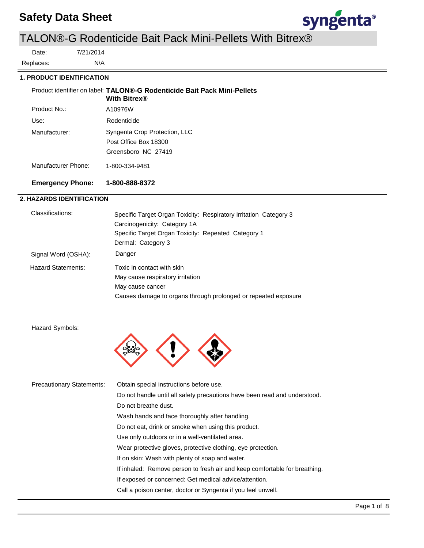# **Safety Data Sheet**



# TALON®-G Rodenticide Bait Pack Mini-Pellets With Bitrex®

Date:

Replaces:

7/21/2014

N\A

## **1. PRODUCT IDENTIFICATION**

A10976W Use: Rodenticide Product identifier on label: **TALON®-G Rodenticide Bait Pack Mini-Pellets With Bitrex®** Manufacturer: Syngenta Crop Protection, LLC Post Office Box 18300 Greensboro NC 27419 Manufacturer Phone: 1-800-334-9481 **Emergency Phone: 1-800-888-8372** Product No.:

## **2. HAZARDS IDENTIFICATION**

| Classifications:          | Specific Target Organ Toxicity: Respiratory Irritation Category 3 |
|---------------------------|-------------------------------------------------------------------|
|                           | Carcinogenicity: Category 1A                                      |
|                           | Specific Target Organ Toxicity: Repeated Category 1               |
|                           | Dermal: Category 3                                                |
| Signal Word (OSHA):       | Danger                                                            |
| <b>Hazard Statements:</b> | Toxic in contact with skin                                        |
|                           | May cause respiratory irritation                                  |
|                           | May cause cancer                                                  |
|                           | Causes damage to organs through prolonged or repeated exposure    |

Hazard Symbols:



| <b>Precautionary Statements:</b> | Obtain special instructions before use.                                    |  |  |  |  |
|----------------------------------|----------------------------------------------------------------------------|--|--|--|--|
|                                  | Do not handle until all safety precautions have been read and understood.  |  |  |  |  |
|                                  | Do not breathe dust.                                                       |  |  |  |  |
|                                  | Wash hands and face thoroughly after handling.                             |  |  |  |  |
|                                  | Do not eat, drink or smoke when using this product.                        |  |  |  |  |
|                                  | Use only outdoors or in a well-ventilated area.                            |  |  |  |  |
|                                  | Wear protective gloves, protective clothing, eye protection.               |  |  |  |  |
|                                  | If on skin: Wash with plenty of soap and water.                            |  |  |  |  |
|                                  | If inhaled: Remove person to fresh air and keep comfortable for breathing. |  |  |  |  |
|                                  | If exposed or concerned: Get medical advice/attention.                     |  |  |  |  |
|                                  | Call a poison center, doctor or Syngenta if you feel unwell.               |  |  |  |  |
|                                  |                                                                            |  |  |  |  |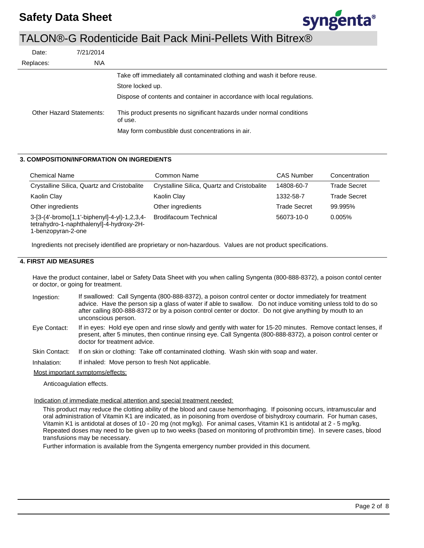

| Date:     | 7/21/2014                       |                                                                                 |
|-----------|---------------------------------|---------------------------------------------------------------------------------|
| Replaces: | N\A                             |                                                                                 |
|           |                                 | Take off immediately all contaminated clothing and wash it before reuse.        |
|           |                                 | Store locked up.                                                                |
|           |                                 | Dispose of contents and container in accordance with local regulations.         |
|           | <b>Other Hazard Statements:</b> | This product presents no significant hazards under normal conditions<br>of use. |
|           |                                 | May form combustible dust concentrations in air.                                |

## **3. COMPOSITION/INFORMATION ON INGREDIENTS**

| <b>Chemical Name</b>                                                                                           | Common Name                                 | <b>CAS Number</b>   | Concentration       |
|----------------------------------------------------------------------------------------------------------------|---------------------------------------------|---------------------|---------------------|
| Crystalline Silica, Quartz and Cristobalite                                                                    | Crystalline Silica, Quartz and Cristobalite | 14808-60-7          | Trade Secret        |
| Kaolin Clay                                                                                                    | Kaolin Clay                                 | 1332-58-7           | <b>Trade Secret</b> |
| Other ingredients                                                                                              | Other ingredients                           | <b>Trade Secret</b> | 99.995%             |
| 3-[3-(4'-bromo[1,1'-biphenyl]-4-yl)-1,2,3,4-<br>tetrahydro-1-naphthalenyl]-4-hydroxy-2H-<br>1-benzopyran-2-one | <b>Brodifacoum Technical</b>                | 56073-10-0          | 0.005%              |

Ingredients not precisely identified are proprietary or non-hazardous. Values are not product specifications.

#### **4. FIRST AID MEASURES**

Have the product container, label or Safety Data Sheet with you when calling Syngenta (800-888-8372), a poison contol center or doctor, or going for treatment.

- If swallowed: Call Syngenta (800-888-8372), a poison control center or doctor immediately for treatment advice. Have the person sip a glass of water if able to swallow. Do not induce vomiting unless told to do so after calling 800-888-8372 or by a poison control center or doctor. Do not give anything by mouth to an unconscious person. Ingestion:
- If in eyes: Hold eye open and rinse slowly and gently with water for 15-20 minutes. Remove contact lenses, if present, after 5 minutes, then continue rinsing eye. Call Syngenta (800-888-8372), a poison control center or doctor for treatment advice. Eye Contact:
- If on skin or clothing: Take off contaminated clothing. Wash skin with soap and water. Skin Contact:

If inhaled: Move person to fresh Not applicable. Inhalation:

Most important symptoms/effects:

Anticoagulation effects.

#### Indication of immediate medical attention and special treatment needed:

This product may reduce the clotting ability of the blood and cause hemorrhaging. If poisoning occurs, intramuscular and oral administration of Vitamin K1 are indicated, as in poisoning from overdose of bishydroxy coumarin. For human cases, Vitamin K1 is antidotal at doses of 10 - 20 mg (not mg/kg). For animal cases, Vitamin K1 is antidotal at 2 - 5 mg/kg. Repeated doses may need to be given up to two weeks (based on monitoring of prothrombin time). In severe cases, blood transfusions may be necessary.

Further information is available from the Syngenta emergency number provided in this document.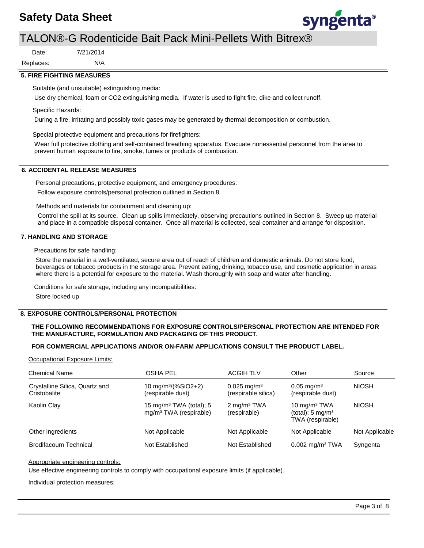## **Safety Data Sheet**



## TALON®-G Rodenticide Bait Pack Mini-Pellets With Bitrex®

Date:

N\A Replaces:

#### **5. FIRE FIGHTING MEASURES**

Suitable (and unsuitable) extinguishing media:

7/21/2014

Use dry chemical, foam or CO2 extinguishing media. If water is used to fight fire, dike and collect runoff.

Specific Hazards:

During a fire, irritating and possibly toxic gases may be generated by thermal decomposition or combustion.

Special protective equipment and precautions for firefighters:

Wear full protective clothing and self-contained breathing apparatus. Evacuate nonessential personnel from the area to prevent human exposure to fire, smoke, fumes or products of combustion.

## **6. ACCIDENTAL RELEASE MEASURES**

Personal precautions, protective equipment, and emergency procedures: Follow exposure controls/personal protection outlined in Section 8.

Methods and materials for containment and cleaning up:

Control the spill at its source. Clean up spills immediately, observing precautions outlined in Section 8. Sweep up material and place in a compatible disposal container. Once all material is collected, seal container and arrange for disposition.

## **7. HANDLING AND STORAGE**

Precautions for safe handling:

Store the material in a well-ventilated, secure area out of reach of children and domestic animals. Do not store food, beverages or tobacco products in the storage area. Prevent eating, drinking, tobacco use, and cosmetic application in areas where there is a potential for exposure to the material. Wash thoroughly with soap and water after handling.

Conditions for safe storage, including any incompatibilities: Store locked up.

## **8. EXPOSURE CONTROLS/PERSONAL PROTECTION**

#### **THE FOLLOWING RECOMMENDATIONS FOR EXPOSURE CONTROLS/PERSONAL PROTECTION ARE INTENDED FOR THE MANUFACTURE, FORMULATION AND PACKAGING OF THIS PRODUCT.**

#### **FOR COMMERCIAL APPLICATIONS AND/OR ON-FARM APPLICATIONS CONSULT THE PRODUCT LABEL.**

Occupational Exposure Limits:

| <b>Chemical Name</b>                           | OSHA PEL                                                                  | <b>ACGIH TLV</b>                                 | Other                                                             | Source         |
|------------------------------------------------|---------------------------------------------------------------------------|--------------------------------------------------|-------------------------------------------------------------------|----------------|
| Crystalline Silica, Quartz and<br>Cristobalite | 10 mg/m <sup>3</sup> /(%SiO2+2)<br>(respirable dust)                      | $0.025$ mg/m <sup>3</sup><br>(respirable silica) | $0.05 \text{ mg/m}^3$<br>(respirable dust)                        | <b>NIOSH</b>   |
| Kaolin Clay                                    | 15 mg/m <sup>3</sup> TWA (total); 5<br>mg/m <sup>3</sup> TWA (respirable) | $2 \text{ mg/m}^3$ TWA<br>(respirable)           | 10 $mg/m3 TWA$<br>(total); $5 \text{ mg/m}^3$<br>TWA (respirable) | <b>NIOSH</b>   |
| Other ingredients                              | Not Applicable                                                            | Not Applicable                                   | Not Applicable                                                    | Not Applicable |
| <b>Brodifacoum Technical</b>                   | Not Established                                                           | Not Established                                  | 0.002 mg/m <sup>3</sup> TWA                                       | Syngenta       |

#### Appropriate engineering controls:

Use effective engineering controls to comply with occupational exposure limits (if applicable).

Individual protection measures: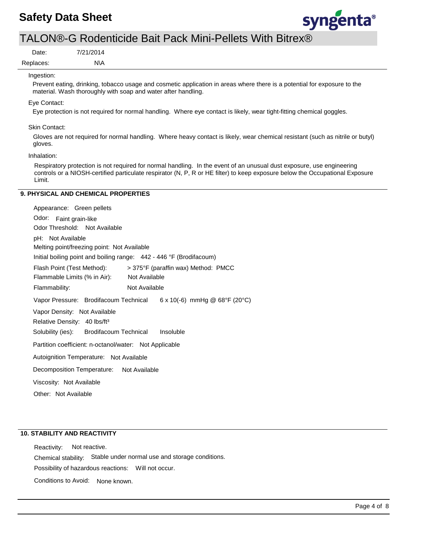

Replaces: Date:

N\A 7/21/2014

### Ingestion:

Prevent eating, drinking, tobacco usage and cosmetic application in areas where there is a potential for exposure to the material. Wash thoroughly with soap and water after handling.

#### Eye Contact:

Eye protection is not required for normal handling. Where eye contact is likely, wear tight-fitting chemical goggles.

#### Skin Contact:

Gloves are not required for normal handling. Where heavy contact is likely, wear chemical resistant (such as nitrile or butyl) gloves.

#### Inhalation:

Respiratory protection is not required for normal handling. In the event of an unusual dust exposure, use engineering controls or a NIOSH-certified particulate respirator (N, P, R or HE filter) to keep exposure below the Occupational Exposure Limit.

## **9. PHYSICAL AND CHEMICAL PROPERTIES**

| Appearance: Green pellets                                           |
|---------------------------------------------------------------------|
| Odor: Faint grain-like                                              |
| Odor Threshold: Not Available                                       |
| pH: Not Available                                                   |
| Melting point/freezing point: Not Available                         |
| Initial boiling point and boiling range: 442 - 446 °F (Brodifacoum) |
| Flash Point (Test Method):<br>> 375°F (paraffin wax) Method: PMCC   |
| Flammable Limits (% in Air): Not Available                          |
| Flammability:<br>Not Available                                      |
| Vapor Pressure: Brodifacoum Technical 6 x 10(-6) mmHg @ 68°F (20°C) |
| Vapor Density: Not Available                                        |
| Relative Density: 40 lbs/ft <sup>3</sup>                            |
| Solubility (ies): Brodifacoum Technical Insoluble                   |
| Partition coefficient: n-octanol/water: Not Applicable              |
| Autoignition Temperature: Not Available                             |
| Decomposition Temperature: Not Available                            |
| Viscosity: Not Available                                            |
| Other: Not Available                                                |

### **10. STABILITY AND REACTIVITY**

Possibility of hazardous reactions: Will not occur. Chemical stability: Stable under normal use and storage conditions. Reactivity: Not reactive. Conditions to Avoid: None known.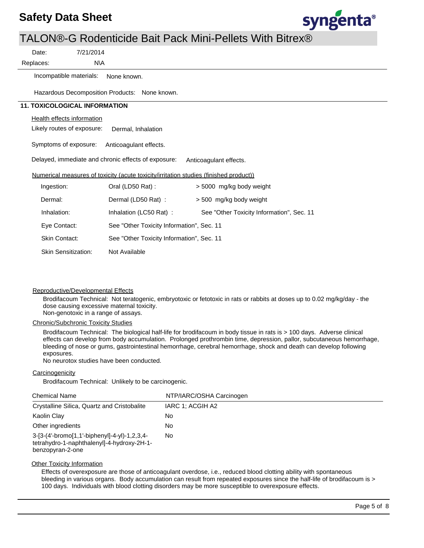

|           | 7/21/2014<br>Date:                   |                                                                                       |                                           |
|-----------|--------------------------------------|---------------------------------------------------------------------------------------|-------------------------------------------|
| Replaces: |                                      | N\A                                                                                   |                                           |
|           | Incompatible materials:              | None known.                                                                           |                                           |
|           |                                      | Hazardous Decomposition Products: None known.                                         |                                           |
|           | <b>11. TOXICOLOGICAL INFORMATION</b> |                                                                                       |                                           |
|           | <b>Health effects information</b>    |                                                                                       |                                           |
|           | Likely routes of exposure:           | Dermal, Inhalation                                                                    |                                           |
|           | Symptoms of exposure:                | Anticoagulant effects.                                                                |                                           |
|           |                                      | Delayed, immediate and chronic effects of exposure:                                   | Anticoagulant effects.                    |
|           |                                      | Numerical measures of toxicity (acute toxicity/irritation studies (finished product)) |                                           |
|           | Ingestion:                           | Oral (LD50 Rat):                                                                      | > 5000 mg/kg body weight                  |
|           | Dermal:                              | Dermal (LD50 Rat):                                                                    | > 500 mg/kg body weight                   |
|           | Inhalation:                          | Inhalation (LC50 Rat):                                                                | See "Other Toxicity Information", Sec. 11 |
|           | Eye Contact:                         | See "Other Toxicity Information", Sec. 11                                             |                                           |
|           | Skin Contact:                        | See "Other Toxicity Information", Sec. 11                                             |                                           |
|           | <b>Skin Sensitization:</b>           | Not Available                                                                         |                                           |

#### Reproductive/Developmental Effects

Brodifacoum Technical: Not teratogenic, embryotoxic or fetotoxic in rats or rabbits at doses up to 0.02 mg/kg/day - the dose causing excessive maternal toxicity. Non-genotoxic in a range of assays.

Chronic/Subchronic Toxicity Studies

Brodifacoum Technical: The biological half-life for brodifacoum in body tissue in rats is > 100 days. Adverse clinical effects can develop from body accumulation. Prolonged prothrombin time, depression, pallor, subcutaneous hemorrhage, bleeding of nose or gums, gastrointestinal hemorrhage, cerebral hemorrhage, shock and death can develop following exposures.

No neurotox studies have been conducted.

#### **Carcinogenicity**

Brodifacoum Technical: Unlikely to be carcinogenic.

| <b>Chemical Name</b>                                                                                           | NTP/IARC/OSHA Carcinogen |
|----------------------------------------------------------------------------------------------------------------|--------------------------|
| Crystalline Silica, Quartz and Cristobalite                                                                    | IARC 1: ACGIH A2         |
| Kaolin Clay                                                                                                    | No                       |
| Other ingredients                                                                                              | No                       |
| 3-[3-(4'-bromo[1,1'-biphenyl]-4-yl)-1,2,3,4-<br>tetrahydro-1-naphthalenyl]-4-hydroxy-2H-1-<br>benzopyran-2-one | No                       |

#### **Other Toxicity Information**

Effects of overexposure are those of anticoagulant overdose, i.e., reduced blood clotting ability with spontaneous bleeding in various organs. Body accumulation can result from repeated exposures since the half-life of brodifacoum is > 100 days. Individuals with blood clotting disorders may be more susceptible to overexposure effects.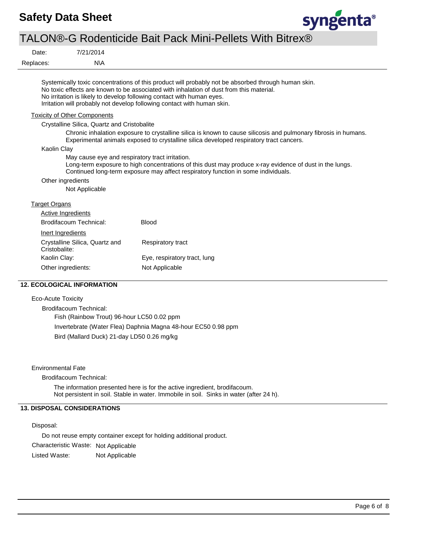

| Date:                | 7/21/2014                                   |                                                                                                                                                                                                                                                                                                                                                    |
|----------------------|---------------------------------------------|----------------------------------------------------------------------------------------------------------------------------------------------------------------------------------------------------------------------------------------------------------------------------------------------------------------------------------------------------|
| Replaces:            | N\A                                         |                                                                                                                                                                                                                                                                                                                                                    |
|                      |                                             | Systemically toxic concentrations of this product will probably not be absorbed through human skin.<br>No toxic effects are known to be associated with inhalation of dust from this material.<br>No irritation is likely to develop following contact with human eyes.<br>Irritation will probably not develop following contact with human skin. |
|                      | <b>Toxicity of Other Components</b>         |                                                                                                                                                                                                                                                                                                                                                    |
|                      | Crystalline Silica, Quartz and Cristobalite |                                                                                                                                                                                                                                                                                                                                                    |
|                      |                                             | Chronic inhalation exposure to crystalline silica is known to cause silicosis and pulmonary fibrosis in humans.<br>Experimental animals exposed to crystalline silica developed respiratory tract cancers.                                                                                                                                         |
| Kaolin Clay          |                                             |                                                                                                                                                                                                                                                                                                                                                    |
|                      |                                             | May cause eye and respiratory tract irritation.<br>Long-term exposure to high concentrations of this dust may produce x-ray evidence of dust in the lungs.<br>Continued long-term exposure may affect respiratory function in some individuals.                                                                                                    |
|                      | Other ingredients                           |                                                                                                                                                                                                                                                                                                                                                    |
|                      | Not Applicable                              |                                                                                                                                                                                                                                                                                                                                                    |
| <b>Target Organs</b> |                                             |                                                                                                                                                                                                                                                                                                                                                    |
|                      | Active Ingredients                          |                                                                                                                                                                                                                                                                                                                                                    |
|                      | Brodifacoum Technical:                      | <b>Blood</b>                                                                                                                                                                                                                                                                                                                                       |
| Inert Ingredients    |                                             |                                                                                                                                                                                                                                                                                                                                                    |
| Cristobalite:        | Crystalline Silica, Quartz and              | Respiratory tract                                                                                                                                                                                                                                                                                                                                  |
| Kaolin Clay:         |                                             | Eye, respiratory tract, lung                                                                                                                                                                                                                                                                                                                       |
|                      | Other ingredients:                          | Not Applicable                                                                                                                                                                                                                                                                                                                                     |

## **12. ECOLOGICAL INFORMATION**

## Eco-Acute Toxicity

Brodifacoum Technical:

Fish (Rainbow Trout) 96-hour LC50 0.02 ppm

Invertebrate (Water Flea) Daphnia Magna 48-hour EC50 0.98 ppm

Bird (Mallard Duck) 21-day LD50 0.26 mg/kg

Environmental Fate

Brodifacoum Technical:

The information presented here is for the active ingredient, brodifacoum. Not persistent in soil. Stable in water. Immobile in soil. Sinks in water (after 24 h).

## **13. DISPOSAL CONSIDERATIONS**

Disposal:

Do not reuse empty container except for holding additional product.

Characteristic Waste: Not Applicable

Listed Waste: Not Applicable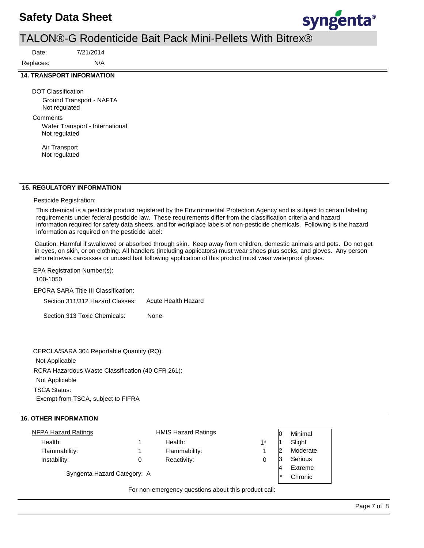## **Safety Data Sheet**



## TALON®-G Rodenticide Bait Pack Mini-Pellets With Bitrex®

Date:

Replaces:

#### **14. TRANSPORT INFORMATION**

DOT Classification Ground Transport - NAFTA Not regulated

N\A 7/21/2014

**Comments** 

Water Transport - International Not regulated

Air Transport Not regulated

## **15. REGULATORY INFORMATION**

Pesticide Registration:

This chemical is a pesticide product registered by the Environmental Protection Agency and is subject to certain labeling requirements under federal pesticide law. These requirements differ from the classification criteria and hazard information required for safety data sheets, and for workplace labels of non-pesticide chemicals. Following is the hazard information as required on the pesticide label:

Caution: Harmful if swallowed or absorbed through skin. Keep away from children, domestic animals and pets. Do not get in eyes, on skin, or on clothing. All handlers (including applicators) must wear shoes plus socks, and gloves. Any person who retrieves carcasses or unused bait following application of this product must wear waterproof gloves.

EPA Registration Number(s):

100-1050

EPCRA SARA Title III Classification:

Section 311/312 Hazard Classes: Acute Health Hazard

Section 313 Toxic Chemicals: None

RCRA Hazardous Waste Classification (40 CFR 261): Not Applicable TSCA Status: Exempt from TSCA, subject to FIFRA CERCLA/SARA 304 Reportable Quantity (RQ): Not Applicable

## **16. OTHER INFORMATION**

| <b>NFPA Hazard Ratings</b>  | <b>HMIS Hazard Ratings</b> |      | ١O | Minimal  |
|-----------------------------|----------------------------|------|----|----------|
| Health:                     | Health:                    | $1*$ |    | Slight   |
| Flammability:               | Flammability:              |      | 12 | Moderate |
| Instability:                | Reactivity:                |      |    | Serious  |
|                             |                            |      | A  | Extreme  |
| Syngenta Hazard Category: A |                            |      |    | Chronic  |

For non-emergency questions about this product call: